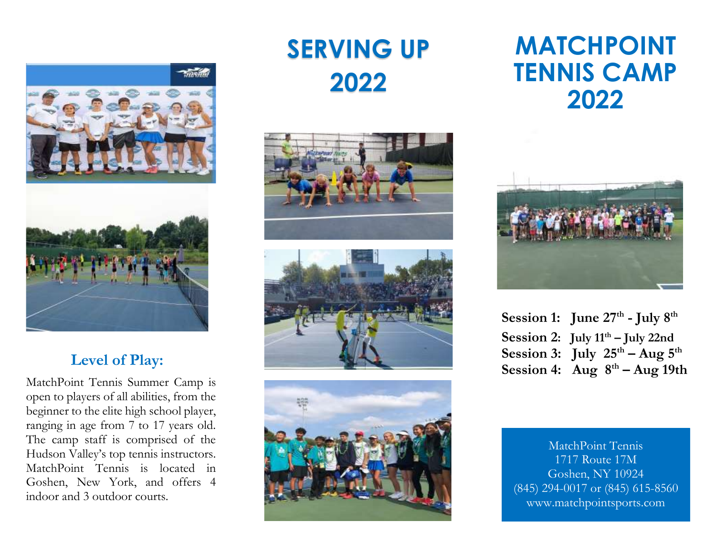

### **Level of Play:**

 $\overline{a}$ 

MatchPoint Tennis Summer Camp is open to players of all abilities, from the beginner to the elite high school player, ranging in age from 7 to 17 years old. The camp staff is comprised of the Hudson Valley's top tennis instructors. MatchPoint Tennis is located in Goshen, New York, and offers 4 indoor and 3 outdoor courts.

# **SERVING UP 2022**







## **MATCHPOINT TENNIS CAMP 2022**



**Session 1: June 27 th - July 8 th Session 2: July 11 th – July 22nd Session 3:** July  $25^{\text{th}} - \text{Aug } 5^{\text{th}}$ **Session 4: Aug 8 th – Aug 19th**

MatchPoint Tennis 1717 Route 17M Goshen, NY 10924 (845) 294-0017 or (845) 615-8560 www.matchpointsports.com